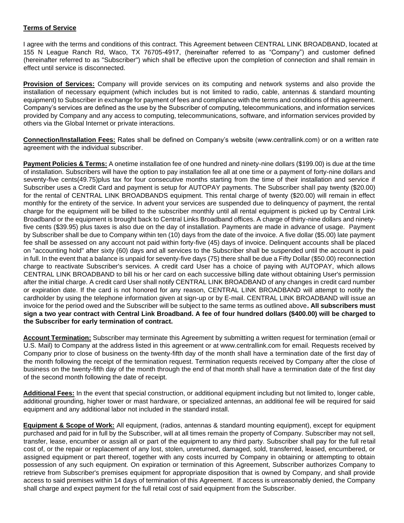## **Terms of Service**

I agree with the terms and conditions of this contract. This Agreement between CENTRAL LINK BROADBAND, located at 155 N League Ranch Rd, Waco, TX 76705-4917, (hereinafter referred to as "Company") and customer defined (hereinafter referred to as "Subscriber") which shall be effective upon the completion of connection and shall remain in effect until service is disconnected.

**Provision of Services:** Company will provide services on its computing and network systems and also provide the installation of necessary equipment (which includes but is not limited to radio, cable, antennas & standard mounting equipment) to Subscriber in exchange for payment of fees and compliance with the terms and conditions of this agreement. Company's services are defined as the use by the Subscriber of computing, telecommunications, and information services provided by Company and any access to computing, telecommunications, software, and information services provided by others via the Global Internet or private interactions.

**Connection/Installation Fees:** Rates shall be defined on Company's website (www.centrallink.com) or on a written rate agreement with the individual subscriber.

**Payment Policies & Terms:** A onetime installation fee of one hundred and ninety-nine dollars (\$199.00) is due at the time of installation. Subscribers will have the option to pay installation fee all at one time or a payment of forty-nine dollars and seventy-five cents(49.75)plus tax for four consecutive months starting from the time of their installation and service if Subscriber uses a Credit Card and payment is setup for AUTOPAY payments. The Subscriber shall pay twenty (\$20.00) for the rental of CENTRAL LINK BROADBANDS equipment. This rental charge of twenty (\$20.00) will remain in effect monthly for the entirety of the service. In advent your services are suspended due to delinquency of payment, the rental charge for the equipment will be billed to the subscriber monthly until all rental equipment is picked up by Central Link Broadband or the equipment is brought back to Central Links Broadband offices. A charge of thirty-nine dollars and ninetyfive cents (\$39.95) plus taxes is also due on the day of installation. Payments are made in advance of usage. Payment by Subscriber shall be due to Company within ten (10) days from the date of the invoice. A five dollar (\$5.00) late payment fee shall be assessed on any account not paid within forty-five (45) days of invoice. Delinquent accounts shall be placed on "accounting hold" after sixty (60) days and all services to the Subscriber shall be suspended until the account is paid in full. In the event that a balance is unpaid for seventy-five days (75) there shall be due a Fifty Dollar (\$50.00) reconnection charge to reactivate Subscriber's services. A credit card User has a choice of paying with AUTOPAY, which allows CENTRAL LINK BROADBAND to bill his or her card on each successive billing date without obtaining User's permission after the initial charge. A credit card User shall notify CENTRAL LINK BROADBAND of any changes in credit card number or expiration date. If the card is not honored for any reason, CENTRAL LINK BROADBAND will attempt to notify the cardholder by using the telephone information given at sign-up or by E-mail. CENTRAL LINK BROADBAND will issue an invoice for the period owed and the Subscriber will be subject to the same terms as outlined above**. All subscribers must sign a two year contract with Central Link Broadband. A fee of four hundred dollars (\$400.00) will be charged to the Subscriber for early termination of contract.** 

**Account Termination:** Subscriber may terminate this Agreement by submitting a written request for termination (email or U.S. Mail) to Company at the address listed in this agreement or at www.centrallink.com for email. Requests received by Company prior to close of business on the twenty-fifth day of the month shall have a termination date of the first day of the month following the receipt of the termination request. Termination requests received by Company after the close of business on the twenty-fifth day of the month through the end of that month shall have a termination date of the first day of the second month following the date of receipt.

**Additional Fees:** In the event that special construction, or additional equipment including but not limited to, longer cable, additional grounding, higher tower or mast hardware, or specialized antennas, an additional fee will be required for said equipment and any additional labor not included in the standard install.

**Equipment & Scope of Work:** All equipment, (radios, antennas & standard mounting equipment), except for equipment purchased and paid for in full by the Subscriber, will at all times remain the property of Company. Subscriber may not sell, transfer, lease, encumber or assign all or part of the equipment to any third party. Subscriber shall pay for the full retail cost of, or the repair or replacement of any lost, stolen, unreturned, damaged, sold, transferred, leased, encumbered, or assigned equipment or part thereof, together with any costs incurred by Company in obtaining or attempting to obtain possession of any such equipment. On expiration or termination of this Agreement, Subscriber authorizes Company to retrieve from Subscriber's premises equipment for appropriate disposition that is owned by Company, and shall provide access to said premises within 14 days of termination of this Agreement. If access is unreasonably denied, the Company shall charge and expect payment for the full retail cost of said equipment from the Subscriber.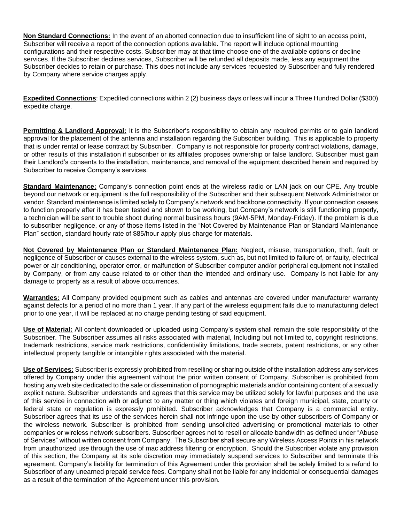**Non Standard Connections:** In the event of an aborted connection due to insufficient line of sight to an access point, Subscriber will receive a report of the connection options available. The report will include optional mounting configurations and their respective costs. Subscriber may at that time choose one of the available options or decline services. If the Subscriber declines services, Subscriber will be refunded all deposits made, less any equipment the Subscriber decides to retain or purchase. This does not include any services requested by Subscriber and fully rendered by Company where service charges apply.

**Expedited Connections**: Expedited connections within 2 (2) business days or less will incur a Three Hundred Dollar (\$300) expedite charge.

**Permitting & Landlord Approval:** It is the Subscriber's responsibility to obtain any required permits or to gain landlord approval for the placement of the antenna and installation regarding the Subscriber building. This is applicable to property that is under rental or lease contract by Subscriber. Company is not responsible for property contract violations, damage, or other results of this installation if subscriber or its affiliates proposes ownership or false landlord. Subscriber must gain their Landlord's consents to the installation, maintenance, and removal of the equipment described herein and required by Subscriber to receive Company's services.

**Standard Maintenance:** Company's connection point ends at the wireless radio or LAN jack on our CPE. Any trouble beyond our network or equipment is the full responsibility of the Subscriber and their subsequent Network Administrator or vendor. Standard maintenance is limited solely to Company's network and backbone connectivity. If your connection ceases to function properly after it has been tested and shown to be working, but Company's network is still functioning properly, a technician will be sent to trouble shoot during normal business hours (9AM-5PM, Monday-Friday). If the problem is due to subscriber negligence, or any of those items listed in the "Not Covered by Maintenance Plan or Standard Maintenance Plan" section, standard hourly rate of \$85/hour apply plus charge for materials.

**Not Covered by Maintenance Plan or Standard Maintenance Plan:** Neglect, misuse, transportation, theft, fault or negligence of Subscriber or causes external to the wireless system, such as, but not limited to failure of, or faulty, electrical power or air conditioning, operator error, or malfunction of Subscriber computer and/or peripheral equipment not installed by Company, or from any cause related to or other than the intended and ordinary use. Company is not liable for any damage to property as a result of above occurrences.

**Warranties:** All Company provided equipment such as cables and antennas are covered under manufacturer warranty against defects for a period of no more than 1 year. If any part of the wireless equipment fails due to manufacturing defect prior to one year, it will be replaced at no charge pending testing of said equipment.

**Use of Material:** All content downloaded or uploaded using Company's system shall remain the sole responsibility of the Subscriber. The Subscriber assumes all risks associated with material, Including but not limited to, copyright restrictions, trademark restrictions, service mark restrictions, confidentiality limitations, trade secrets, patent restrictions, or any other intellectual property tangible or intangible rights associated with the material.

**Use of Services:** Subscriber is expressly prohibited from reselling or sharing outside of the installation address any services offered by Company under this agreement without the prior written consent of Company. Subscriber is prohibited from hosting any web site dedicated to the sale or dissemination of pornographic materials and/or containing content of a sexually explicit nature. Subscriber understands and agrees that this service may be utilized solely for lawful purposes and the use of this service in connection with or adjunct to any matter or thing which violates and foreign municipal, state, county or federal state or regulation is expressly prohibited. Subscriber acknowledges that Company is a commercial entity. Subscriber agrees that its use of the services herein shall not infringe upon the use by other subscribers of Company or the wireless network. Subscriber is prohibited from sending unsolicited advertising or promotional materials to other companies or wireless network subscribers. Subscriber agrees not to resell or allocate bandwidth as defined under "Abuse of Services" without written consent from Company. The Subscriber shall secure any Wireless Access Points in his network from unauthorized use through the use of mac address filtering or encryption. Should the Subscriber violate any provision of this section, the Company at its sole discretion may immediately suspend services to Subscriber and terminate this agreement. Company's liability for termination of this Agreement under this provision shall be solely limited to a refund to Subscriber of any unearned prepaid service fees. Company shall not be liable for any incidental or consequential damages as a result of the termination of the Agreement under this provision.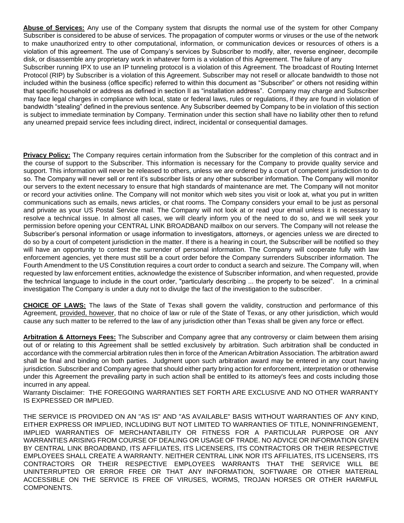**Abuse of Services:** Any use of the Company system that disrupts the normal use of the system for other Company Subscriber is considered to be abuse of services. The propagation of computer worms or viruses or the use of the network to make unauthorized entry to other computational, information, or communication devices or resources of others is a violation of this agreement. The use of Company's services by Subscriber to modify, alter, reverse engineer, decompile disk, or disassemble any proprietary work in whatever form is a violation of this Agreement. The failure of any Subscriber running IPX to use an IP tunneling protocol is a violation of this Agreement. The broadcast of Routing Internet Protocol (RIP) by Subscriber is a violation of this Agreement. Subscriber may not resell or allocate bandwidth to those not included within the business (office specific) referred to within this document as "Subscriber" or others not residing within that specific household or address as defined in section II as "installation address". Company may charge and Subscriber may face legal charges in compliance with local, state or federal laws, rules or regulations, if they are found in violation of bandwidth "stealing" defined in the previous sentence. Any Subscriber deemed by Company to be in violation of this section is subject to immediate termination by Company. Termination under this section shall have no liability other then to refund any unearned prepaid service fees including direct, indirect, incidental or consequential damages.

**Privacy Policy:** The Company requires certain information from the Subscriber for the completion of this contract and in the course of support to the Subscriber. This information is necessary for the Company to provide quality service and support. This information will never be released to others, unless we are ordered by a court of competent jurisdiction to do so. The Company will never sell or rent it's subscriber lists or any other subscriber information. The Company will monitor our servers to the extent necessary to ensure that high standards of maintenance are met. The Company will not monitor or record your activities online. The Company will not monitor which web sites you visit or look at, what you put in written communications such as emails, news articles, or chat rooms. The Company considers your email to be just as personal and private as your US Postal Service mail. The Company will not look at or read your email unless it is necessary to resolve a technical issue. In almost all cases, we will clearly inform you of the need to do so, and we will seek your permission before opening your CENTRAL LINK BROADBAND mailbox on our servers. The Company will not release the Subscriber's personal information or usage information to investigators, attorneys, or agencies unless we are directed to do so by a court of competent jurisdiction in the matter. If there is a hearing in court, the Subscriber will be notified so they will have an opportunity to contest the surrender of personal information. The Company will cooperate fully with law enforcement agencies, yet there must still be a court order before the Company surrenders Subscriber information. The Fourth Amendment to the US Constitution requires a court order to conduct a search and seizure. The Company will, when requested by law enforcement entities, acknowledge the existence of Subscriber information, and when requested, provide the technical language to include in the court order, "particularly describing ... the property to be seized". In a criminal investigation The Company is under a duty not to divulge the fact of the investigation to the subscriber.

**CHOICE OF LAWS:** The laws of the State of Texas shall govern the validity, construction and performance of this Agreement, provided, however, that no choice of law or rule of the State of Texas, or any other jurisdiction, which would cause any such matter to be referred to the law of any jurisdiction other than Texas shall be given any force or effect.

**Arbitration & Attorneys Fees:** The Subscriber and Company agree that any controversy or claim between them arising out of or relating to this Agreement shall be settled exclusively by arbitration. Such arbitration shall be conducted in accordance with the commercial arbitration rules then in force of the American Arbitration Association. The arbitration award shall be final and binding on both parties. Judgment upon such arbitration award may be entered in any court having jurisdiction. Subscriber and Company agree that should either party bring action for enforcement, interpretation or otherwise under this Agreement the prevailing party in such action shall be entitled to its attorney's fees and costs including those incurred in any appeal.

Warranty Disclaimer: THE FOREGOING WARRANTIES SET FORTH ARE EXCLUSIVE AND NO OTHER WARRANTY IS EXPRESSED OR IMPLIED.

THE SERVICE IS PROVIDED ON AN "AS IS" AND "AS AVAILABLE" BASIS WITHOUT WARRANTIES OF ANY KIND, EITHER EXPRESS OR IMPLIED, INCLUDING BUT NOT LIMITED TO WARRANTIES OF TITLE, NONINFRINGEMENT, IMPLIED WARRANTIES OF MERCHANTABILITY OR FITNESS FOR A PARTICULAR PURPOSE OR ANY WARRANTIES ARISING FROM COURSE OF DEALING OR USAGE OF TRADE. NO ADVICE OR INFORMATION GIVEN BY CENTRAL LINK BROADBAND, ITS AFFILIATES, ITS LICENSERS, ITS CONTRACTORS OR THEIR RESPECTIVE EMPLOYEES SHALL CREATE A WARRANTY. NEITHER CENTRAL LINK NOR ITS AFFILIATES, ITS LICENSERS, ITS CONTRACTORS OR THEIR RESPECTIVE EMPLOYEES WARRANTS THAT THE SERVICE WILL BE UNINTERRUPTED OR ERROR FREE OR THAT ANY INFORMATION, SOFTWARE OR OTHER MATERIAL ACCESSIBLE ON THE SERVICE IS FREE OF VIRUSES, WORMS, TROJAN HORSES OR OTHER HARMFUL COMPONENTS.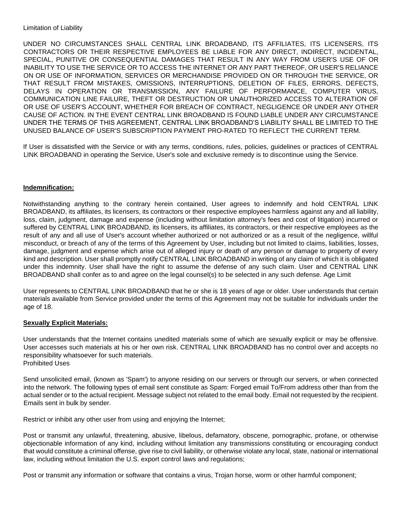## Limitation of Liability

UNDER NO CIRCUMSTANCES SHALL CENTRAL LINK BROADBAND, ITS AFFILIATES, ITS LICENSERS, ITS CONTRACTORS OR THEIR RESPECTIVE EMPLOYEES BE LIABLE FOR ANY DIRECT, INDIRECT, INCIDENTAL, SPECIAL, PUNITIVE OR CONSEQUENTIAL DAMAGES THAT RESULT IN ANY WAY FROM USER'S USE OF OR INABILITY TO USE THE SERVICE OR TO ACCESS THE INTERNET OR ANY PART THEREOF, OR USER'S RELIANCE ON OR USE OF INFORMATION, SERVICES OR MERCHANDISE PROVIDED ON OR THROUGH THE SERVICE, OR THAT RESULT FROM MISTAKES, OMISSIONS, INTERRUPTIONS, DELETION OF FILES, ERRORS, DEFECTS, DELAYS IN OPERATION OR TRANSMISSION, ANY FAILURE OF PERFORMANCE, COMPUTER VIRUS, COMMUNICATION LINE FAILURE, THEFT OR DESTRUCTION OR UNAUTHORIZED ACCESS TO ALTERATION OF OR USE OF USER'S ACCOUNT, WHETHER FOR BREACH OF CONTRACT, NEGLIGENCE OR UNDER ANY OTHER CAUSE OF ACTION. IN THE EVENT CENTRAL LINK BROADBAND IS FOUND LIABLE UNDER ANY CIRCUMSTANCE UNDER THE TERMS OF THIS AGREEMENT, CENTRAL LINK BROADBAND'S LIABILITY SHALL BE LIMITED TO THE UNUSED BALANCE OF USER'S SUBSCRIPTION PAYMENT PRO-RATED TO REFLECT THE CURRENT TERM.

If User is dissatisfied with the Service or with any terms, conditions, rules, policies, guidelines or practices of CENTRAL LINK BROADBAND in operating the Service, User's sole and exclusive remedy is to discontinue using the Service.

## **Indemnification:**

Notwithstanding anything to the contrary herein contained, User agrees to indemnify and hold CENTRAL LINK BROADBAND, its affiliates, its licensers, its contractors or their respective employees harmless against any and all liability, loss, claim, judgment, damage and expense (including without limitation attorney's fees and cost of litigation) incurred or suffered by CENTRAL LINK BROADBAND, its licensers, its affiliates, its contractors, or their respective employees as the result of any and all use of User's account whether authorized or not authorized or as a result of the negligence, willful misconduct, or breach of any of the terms of this Agreement by User, including but not limited to claims, liabilities, losses, damage, judgment and expense which arise out of alleged injury or death of any person or damage to property of every kind and description. User shall promptly notify CENTRAL LINK BROADBAND in writing of any claim of which it is obligated under this indemnity. User shall have the right to assume the defense of any such claim. User and CENTRAL LINK BROADBAND shall confer as to and agree on the legal counsel(s) to be selected in any such defense. Age Limit

User represents to CENTRAL LINK BROADBAND that he or she is 18 years of age or older. User understands that certain materials available from Service provided under the terms of this Agreement may not be suitable for individuals under the age of 18.

## **Sexually Explicit Materials:**

User understands that the Internet contains unedited materials some of which are sexually explicit or may be offensive. User accesses such materials at his or her own risk. CENTRAL LINK BROADBAND has no control over and accepts no responsibility whatsoever for such materials. Prohibited Uses

Send unsolicited email, (known as 'Spam') to anyone residing on our servers or through our servers, or when connected into the network. The following types of email sent constitute as Spam: Forged email To/From address other than from the actual sender or to the actual recipient. Message subject not related to the email body. Email not requested by the recipient. Emails sent in bulk by sender.

Restrict or inhibit any other user from using and enjoying the Internet;

Post or transmit any unlawful, threatening, abusive, libelous, defamatory, obscene, pornographic, profane, or otherwise objectionable information of any kind, including without limitation any transmissions constituting or encouraging conduct that would constitute a criminal offense, give rise to civil liability, or otherwise violate any local, state, national or international law, including without limitation the U.S. export control laws and regulations;

Post or transmit any information or software that contains a virus, Trojan horse, worm or other harmful component;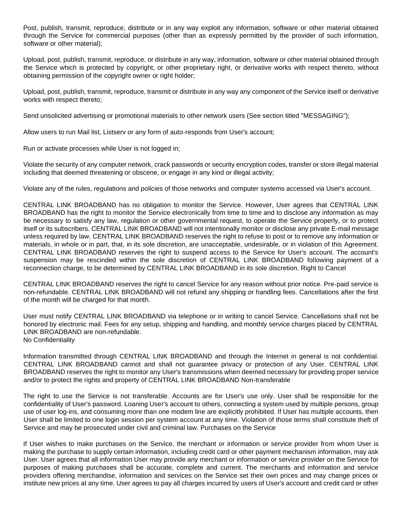Post, publish, transmit, reproduce, distribute or in any way exploit any information, software or other material obtained through the Service for commercial purposes (other than as expressly permitted by the provider of such information, software or other material);

Upload, post, publish, transmit, reproduce, or distribute in any way, information, software or other material obtained through the Service which is protected by copyright, or other proprietary right, or derivative works with respect thereto, without obtaining permission of the copyright owner or right holder;

Upload, post, publish, transmit, reproduce, transmit or distribute in any way any component of the Service itself or derivative works with respect thereto;

Send unsolicited advertising or promotional materials to other network users (See section titled "MESSAGING");

Allow users to run Mail list, Listserv or any form of auto-responds from User's account;

Run or activate processes while User is not logged in;

Violate the security of any computer network, crack passwords or security encryption codes, transfer or store illegal material including that deemed threatening or obscene, or engage in any kind or illegal activity;

Violate any of the rules, regulations and policies of those networks and computer systems accessed via User's account.

CENTRAL LINK BROADBAND has no obligation to monitor the Service. However, User agrees that CENTRAL LINK BROADBAND has the right to monitor the Service electronically from time to time and to disclose any information as may be necessary to satisfy any law, regulation or other governmental request, to operate the Service properly, or to protect itself or its subscribers. CENTRAL LINK BROADBAND will not intentionally monitor or disclose any private E-mail message unless required by law. CENTRAL LINK BROADBAND reserves the right to refuse to post or to remove any information or materials, in whole or in part, that, in its sole discretion, are unacceptable, undesirable, or in violation of this Agreement. CENTRAL LINK BROADBAND reserves the right to suspend access to the Service for User's account. The account's suspension may be rescinded within the sole discretion of CENTRAL LINK BROADBAND following payment of a reconnection charge, to be determined by CENTRAL LINK BROADBAND in its sole discretion. Right to Cancel

CENTRAL LINK BROADBAND reserves the right to cancel Service for any reason without prior notice. Pre-paid service is non-refundable. CENTRAL LINK BROADBAND will not refund any shipping or handling fees. Cancellations after the first of the month will be charged for that month.

User must notify CENTRAL LINK BROADBAND via telephone or in writing to cancel Service. Cancellations shall not be honored by electronic mail. Fees for any setup, shipping and handling, and monthly service charges placed by CENTRAL LINK BROADBAND are non-refundable. No Confidentiality

Information transmitted through CENTRAL LINK BROADBAND and through the Internet in general is not confidential. CENTRAL LINK BROADBAND cannot and shall not guarantee privacy or protection of any User. CENTRAL LINK BROADBAND reserves the right to monitor any User's transmissions when deemed necessary for providing proper service and/or to protect the rights and property of CENTRAL LINK BROADBAND Non-transferable

The right to use the Service is not transferable. Accounts are for User's use only. User shall be responsible for the confidentiality of User's password. Loaning User's account to others, connecting a system used by multiple persons, group use of user log-ins, and consuming more than one modem line are explicitly prohibited. If User has multiple accounts, then User shall be limited to one login session per system account at any time. Violation of those terms shall constitute theft of Service and may be prosecuted under civil and criminal law. Purchases on the Service

If User wishes to make purchases on the Service, the merchant or information or service provider from whom User is making the purchase to supply certain information, including credit card or other payment mechanism information, may ask User. User agrees that all information User may provide any merchant or information or service provider on the Service for purposes of making purchases shall be accurate, complete and current. The merchants and information and service providers offering merchandise, information and services on the Service set their own prices and may change prices or institute new prices at any time. User agrees to pay all charges incurred by users of User's account and credit card or other